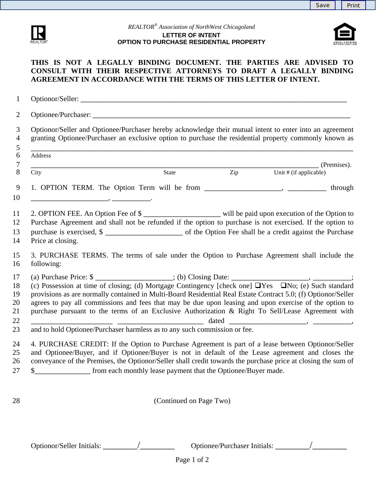

## *REALTOR® Association of NorthWest Chicagoland*  **LETTER OF INTENT OPTION TO PURCHASE RESIDENTIAL PROPERTY**



## **THIS IS NOT A LEGALLY BINDING DOCUMENT. THE PARTIES ARE ADVISED TO CONSULT WITH THEIR RESPECTIVE ATTORNEYS TO DRAFT A LEGALLY BINDING AGREEMENT IN ACCORDANCE WITH THE TERMS OF THIS LETTER OF INTENT.**

|                                                                           |                                                                                                                      |                                  | Optionor/Seller and Optionee/Purchaser hereby acknowledge their mutual intent to enter into an agreement<br>granting Optionee/Purchaser an exclusive option to purchase the residential property commonly known as                                                                                                                                                                                                                              |
|---------------------------------------------------------------------------|----------------------------------------------------------------------------------------------------------------------|----------------------------------|-------------------------------------------------------------------------------------------------------------------------------------------------------------------------------------------------------------------------------------------------------------------------------------------------------------------------------------------------------------------------------------------------------------------------------------------------|
| Address                                                                   |                                                                                                                      |                                  |                                                                                                                                                                                                                                                                                                                                                                                                                                                 |
| City                                                                      | State                                                                                                                | $\mathop{\mathrm{Zip}}\nolimits$ | (Premises).<br>Unit # (if applicable)                                                                                                                                                                                                                                                                                                                                                                                                           |
|                                                                           |                                                                                                                      |                                  | 1. OPTION TERM. The Option Term will be from _____________________, ____________ through                                                                                                                                                                                                                                                                                                                                                        |
| Price at closing.                                                         |                                                                                                                      |                                  | 2. OPTION FEE. An Option Fee of \$<br>Purchase Agreement and shall not be refunded if the option to purchase is not exercised. If the option to<br>purchase is exercised, \$                                                                                                                                                                                                                                                                    |
| following:                                                                |                                                                                                                      |                                  | 3. PURCHASE TERMS. The terms of sale under the Option to Purchase Agreement shall include the                                                                                                                                                                                                                                                                                                                                                   |
|                                                                           | <u> 2000 - 2000 - 2000 - 2000 - 2000 - 2000 - 2000 - 2000 - 2000 - 2000 - 2000 - 2000 - 2000 - 2000 - 2000 - 200</u> |                                  | (c) Possession at time of closing; (d) Mortgage Contingency [check one] $\Box$ Yes $\Box$ No; (e) Such standard<br>provisions as are normally contained in Multi-Board Residential Real Estate Contract 5.0; (f) Optionor/Seller<br>agrees to pay all commissions and fees that may be due upon leasing and upon exercise of the option to<br>purchase pursuant to the terms of an Exclusive Authorization & Right To Sell/Lease Agreement with |
| and to hold Optionee/Purchaser harmless as to any such commission or fee. |                                                                                                                      |                                  |                                                                                                                                                                                                                                                                                                                                                                                                                                                 |
|                                                                           |                                                                                                                      |                                  | 4. PURCHASE CREDIT: If the Option to Purchase Agreement is part of a lease between Optionor/Seller<br>and Optionee/Buyer, and if Optionee/Buyer is not in default of the Lease agreement and closes the<br>conveyance of the Premises, the Optionor/Seller shall credit towards the purchase price at closing the sum of                                                                                                                        |
| \$                                                                        | from each monthly lease payment that the Optionee/Buyer made.                                                        |                                  |                                                                                                                                                                                                                                                                                                                                                                                                                                                 |
|                                                                           |                                                                                                                      |                                  |                                                                                                                                                                                                                                                                                                                                                                                                                                                 |

Optionor/Seller Initials: \_\_\_\_\_\_\_/\_\_\_\_\_\_\_ Optionee/Purchaser Initials: \_\_\_\_\_\_\_/\_\_\_\_\_\_\_